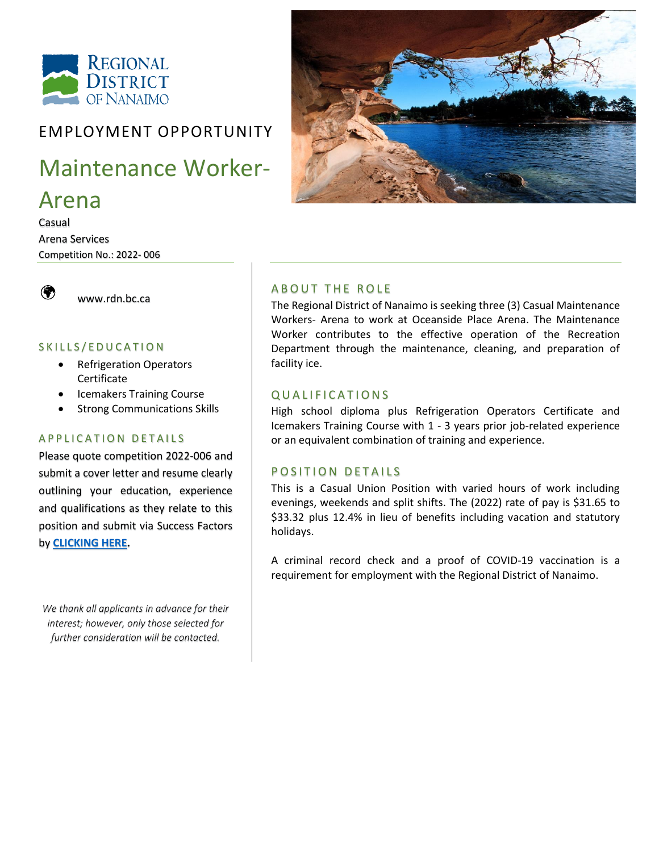

### EMPLOYMENT OPPORTUNITY

# Maintenance Worker-

## Arena

Casual Arena Services Competition No.: 2022- 006



[www.rdn.bc.ca](http://www.rdn.bc.ca/) 

#### SKILLS/EDUCATION

- Refrigeration Operators Certificate
- Icemakers Training Course
- Strong Communications Skills

#### A P P L I C A T I O N D E T A I L S

Please quote competition 2022-006 and submit a cover letter and resume clearly outlining your education, experience and qualifications as they relate to this position and submit via Success Factors by **[CLICKING HERE.](https://career17.sapsf.com/sfcareer/jobreqcareer?jobId=904&company=regionaldi)**

*We thank all applicants in advance for their interest; however, only those selected for further consideration will be contacted.*



#### **ABOUT THE ROLE**

The Regional District of Nanaimo is seeking three (3) Casual Maintenance Workers- Arena to work at Oceanside Place Arena. The Maintenance Worker contributes to the effective operation of the Recreation Department through the maintenance, cleaning, and preparation of facility ice.

#### Q U A L I F I C A T I O N S

High school diploma plus Refrigeration Operators Certificate and Icemakers Training Course with 1 - 3 years prior job-related experience or an equivalent combination of training and experience.

#### POSITION DETAILS

This is a Casual Union Position with varied hours of work including evenings, weekends and split shifts. The (2022) rate of pay is \$31.65 to \$33.32 plus 12.4% in lieu of benefits including vacation and statutory holidays.

A criminal record check and a proof of COVID-19 vaccination is a requirement for employment with the Regional District of Nanaimo.